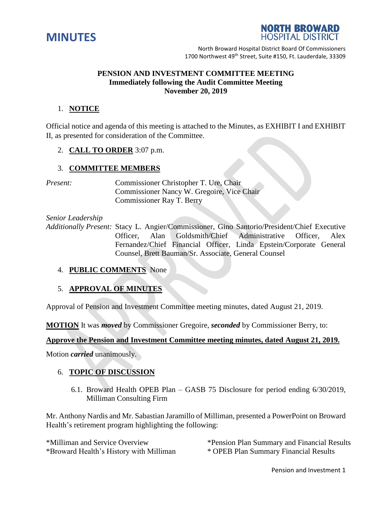



North Broward Hospital District Board Of Commissioners 1700 Northwest 49<sup>th</sup> Street, Suite #150, Ft. Lauderdale, 33309

### **PENSION AND INVESTMENT COMMITTEE MEETING Immediately following the Audit Committee Meeting November 20, 2019**

# 1. **NOTICE**

Official notice and agenda of this meeting is attached to the Minutes, as EXHIBIT I and EXHIBIT II, as presented for consideration of the Committee.

2. **CALL TO ORDER** 3:07 p.m.

# 3. **COMMITTEE MEMBERS**

*Present:* Commissioner Christopher T. Ure, Chair Commissioner Nancy W. Gregoire, Vice Chair Commissioner Ray T. Berry

*Senior Leadership*

*Additionally Present:* Stacy L. Angier/Commissioner, Gino Santorio/President/Chief Executive Officer, Alan Goldsmith/Chief Administrative Officer, Alex Fernandez/Chief Financial Officer, Linda Epstein/Corporate General Counsel, Brett Bauman/Sr. Associate, General Counsel

#### 4. **PUBLIC COMMENTS** None

# 5. **APPROVAL OF MINUTES**

Approval of Pension and Investment Committee meeting minutes, dated August 21, 2019.

**MOTION** It was *moved* by Commissioner Gregoire, *seconded* by Commissioner Berry, to:

#### **Approve the Pension and Investment Committee meeting minutes, dated August 21, 2019.**

Motion *carried* unanimously.

# 6. **TOPIC OF DISCUSSION**

6.1. Broward Health OPEB Plan – GASB 75 Disclosure for period ending 6/30/2019, Milliman Consulting Firm

Mr. Anthony Nardis and Mr. Sabastian Jaramillo of Milliman, presented a PowerPoint on Broward Health's retirement program highlighting the following:

| *Milliman and Service Overview          |
|-----------------------------------------|
| *Broward Health's History with Millimar |

\*Pension Plan Summary and Financial Results n \* OPEB Plan Summary Financial Results